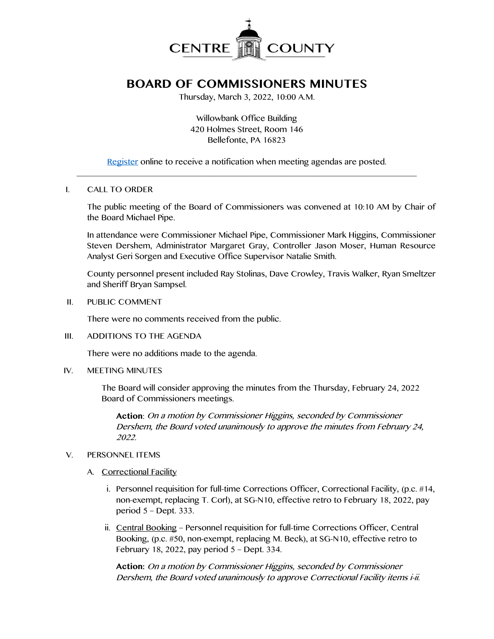

# **BOARD OF COMMISSIONERS MINUTES**

Thursday, March 3, 2022, 10:00 A.M.

Willowbank Office Building 420 Holmes Street, Room 146 Bellefonte, PA 16823

[Register](http://www.centrecountypa.gov/AgendaCenter) online to receive a notification when meeting agendas are posted.  $\mathcal{L} = \{ \mathcal{L} = \{ \mathcal{L} \mid \mathcal{L} = \{ \mathcal{L} \mid \mathcal{L} = \{ \mathcal{L} \mid \mathcal{L} = \{ \mathcal{L} \mid \mathcal{L} = \{ \mathcal{L} \mid \mathcal{L} = \{ \mathcal{L} \mid \mathcal{L} = \{ \mathcal{L} \mid \mathcal{L} = \{ \mathcal{L} \mid \mathcal{L} = \{ \mathcal{L} \mid \mathcal{L} = \{ \mathcal{L} \mid \mathcal{L} = \{ \mathcal{L} \mid \mathcal{L} = \{ \mathcal{L} \mid \mathcal{L} =$ 

#### I. CALL TO ORDER

The public meeting of the Board of Commissioners was convened at 10:10 AM by Chair of the Board Michael Pipe.

In attendance were Commissioner Michael Pipe, Commissioner Mark Higgins, Commissioner Steven Dershem, Administrator Margaret Gray, Controller Jason Moser, Human Resource Analyst Geri Sorgen and Executive Office Supervisor Natalie Smith.

County personnel present included Ray Stolinas, Dave Crowley, Travis Walker, Ryan Smeltzer and Sheriff Bryan Sampsel.

II. PUBLIC COMMENT

There were no comments received from the public.

III. ADDITIONS TO THE AGENDA

There were no additions made to the agenda.

IV. MEETING MINUTES

The Board will consider approving the minutes from the Thursday, February 24, 2022 Board of Commissioners meetings.

**Action**: On a motion by Commissioner Higgins, seconded by Commissioner Dershem, the Board voted unanimously to approve the minutes from February 24, 2022.

#### V. PERSONNEL ITEMS

- A. Correctional Facility
	- i. Personnel requisition for full-time Corrections Officer, Correctional Facility, (p.c. #14, non-exempt, replacing T. Corl), at SG-N10, effective retro to February 18, 2022, pay period 5 – Dept. 333.
	- ii. Central Booking Personnel requisition for full-time Corrections Officer, Central Booking, (p.c. #50, non-exempt, replacing M. Beck), at SG-N10, effective retro to February 18, 2022, pay period 5 – Dept. 334.

**Action:** On a motion by Commissioner Higgins, seconded by Commissioner Dershem, the Board voted unanimously to approve Correctional Facility items i-ii.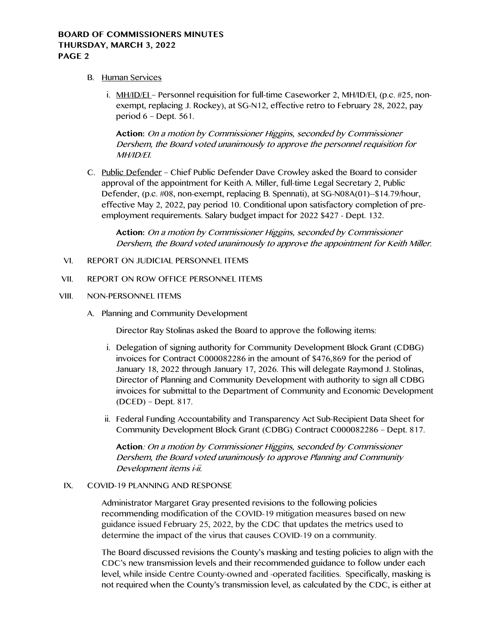# **BOARD OF COMMISSIONERS MINUTES THURSDAY, MARCH 3, 2022 PAGE 2**

- B. Human Services
	- i. MH/ID/EI Personnel requisition for full-time Caseworker 2, MH/ID/EI, (p.c. #25, nonexempt, replacing J. Rockey), at SG-N12, effective retro to February 28, 2022, pay period 6 – Dept. 561.

**Action:** On a motion by Commissioner Higgins, seconded by Commissioner Dershem, the Board voted unanimously to approve the personnel requisition for MH/ID/EI.

C. Public Defender – Chief Public Defender Dave Crowley asked the Board to consider approval of the appointment for Keith A. Miller, full-time Legal Secretary 2, Public Defender, (p.c. #08, non-exempt, replacing B. Spennati), at SG-N08A(01)--\$14.79/hour, effective May 2, 2022, pay period 10. Conditional upon satisfactory completion of preemployment requirements. Salary budget impact for 2022 \$427 - Dept. 132.

**Action:** On a motion by Commissioner Higgins, seconded by Commissioner Dershem, the Board voted unanimously to approve the appointment for Keith Miller.

- VI. REPORT ON JUDICIAL PERSONNEL ITEMS
- VII. REPORT ON ROW OFFICE PERSONNEL ITEMS

#### VIII. NON-PERSONNEL ITEMS

A. Planning and Community Development

Director Ray Stolinas asked the Board to approve the following items:

- i. Delegation of signing authority for Community Development Block Grant (CDBG) invoices for Contract C000082286 in the amount of \$476,869 for the period of January 18, 2022 through January 17, 2026. This will delegate Raymond J. Stolinas, Director of Planning and Community Development with authority to sign all CDBG invoices for submittal to the Department of Community and Economic Development (DCED) – Dept. 817.
- ii. Federal Funding Accountability and Transparency Act Sub-Recipient Data Sheet for Community Development Block Grant (CDBG) Contract C000082286 – Dept. 817.

**Action**: On a motion by Commissioner Higgins, seconded by Commissioner Dershem, the Board voted unanimously to approve Planning and Community Development items i-ii.

#### IX. COVID-19 PLANNING AND RESPONSE

Administrator Margaret Gray presented revisions to the following policies recommending modification of the COVID-19 mitigation measures based on new guidance issued February 25, 2022, by the CDC that updates the metrics used to determine the impact of the virus that causes COVID-19 on a community.

The Board discussed revisions the County's masking and testing policies to align with the CDC's new transmission levels and their recommended guidance to follow under each level, while inside Centre County-owned and -operated facilities. Specifically, masking is not required when the County's transmission level, as calculated by the CDC, is either at